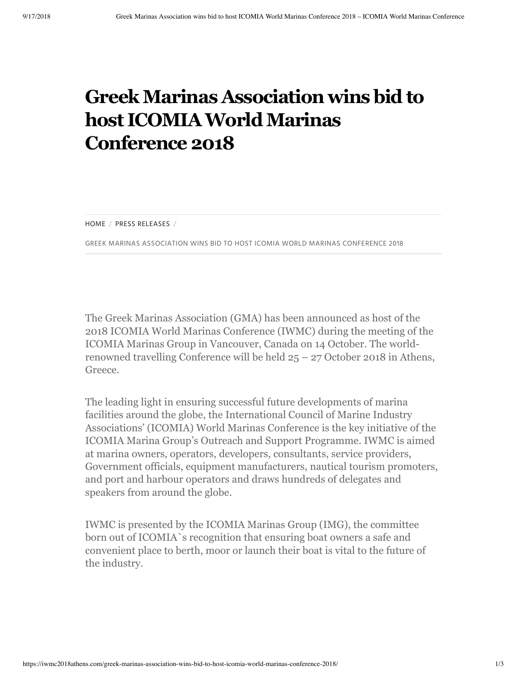## **GreekMarinas Association wins bidto host ICOMIAWorldMarinas Conference 2018**

HOME  $/$  PRESS RELEASES  $/$ 

GREEK MARINAS ASSOCIATION WINS BID TO HOST ICOMIA WORLD MARINAS CONFERENCE 2018

The Greek Marinas Association (GMA) has been announced as host of the 2018 ICOMIA World Marinas Conference (IWMC) during the meeting of the ICOMIA Marinas Group in Vancouver, Canada on 14 October. The worldrenowned travelling Conference will be held 25 – 27 October 2018 in Athens, Greece.

The leading light in ensuring successful future developments of marina facilities around the globe, the International Council of Marine Industry Associations' (ICOMIA) World Marinas Conference is the key initiative of the ICOMIA Marina Group's Outreach and Support Programme. IWMC is aimed at marina owners, operators, developers, consultants, service providers, Government officials, equipment manufacturers, nautical tourism promoters, and port and harbour operators and draws hundreds of delegates and speakers from around the globe.

IWMC is presented by the ICOMIA Marinas Group (IMG), the committee born out of ICOMIA`s recognition that ensuring boat owners a safe and convenient place to berth, moor or launch their boat is vital to the future of the industry.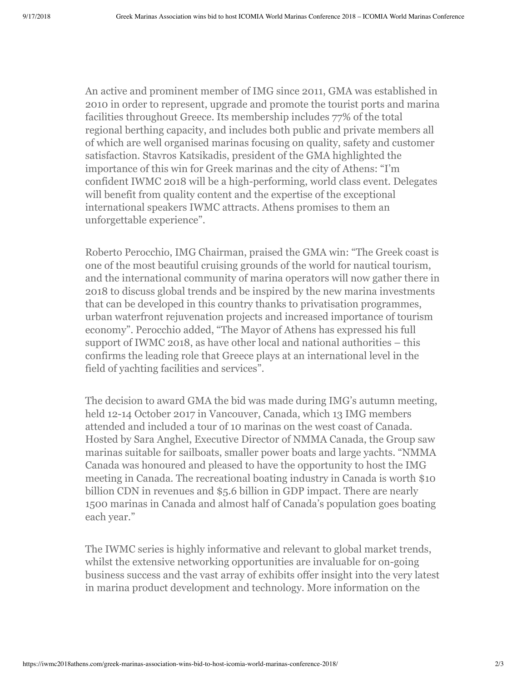An active and prominent member of IMG since 2011, GMA was established in 2010 in order to represent, upgrade and promote the tourist ports and marina facilities throughout Greece. Its membership includes 77% of the total regional berthing capacity, and includes both public and private members all of which are well organised marinas focusing on quality, safety and customer satisfaction. Stavros Katsikadis, president of the GMA highlighted the importance of this win for Greek marinas and the city of Athens: "I'm confident IWMC 2018 will be a high-performing, world class event. Delegates will benefit from quality content and the expertise of the exceptional international speakers IWMC attracts. Athens promises to them an unforgettable experience".

Roberto Perocchio, IMG Chairman, praised the GMA win: "The Greek coast is one of the most beautiful cruising grounds of the world for nautical tourism, and the international community of marina operators will now gather there in 2018 to discuss global trends and be inspired by the new marina investments that can be developed in this country thanks to privatisation programmes, urban waterfront rejuvenation projects and increased importance of tourism economy". Perocchio added, "The Mayor of Athens has expressed his full support of IWMC 2018, as have other local and national authorities – this confirms the leading role that Greece plays at an international level in the field of yachting facilities and services".

The decision to award GMA the bid was made during IMG's autumn meeting, held 12-14 October 2017 in Vancouver, Canada, which 13 IMG members attended and included a tour of 10 marinas on the west coast of Canada. Hosted by Sara Anghel, Executive Director of NMMA Canada, the Group saw marinas suitable for sailboats, smaller power boats and large yachts. "NMMA Canada was honoured and pleased to have the opportunity to host the IMG meeting in Canada. The recreational boating industry in Canada is worth \$10 billion CDN in revenues and \$5.6 billion in GDP impact. There are nearly 1500 marinas in Canada and almost half of Canada's population goes boating each year."

The IWMC series is highly informative and relevant to global market trends, whilst the extensive networking opportunities are invaluable for on-going business success and the vast array of exhibits offer insight into the very latest in marina product development and technology. More information on the